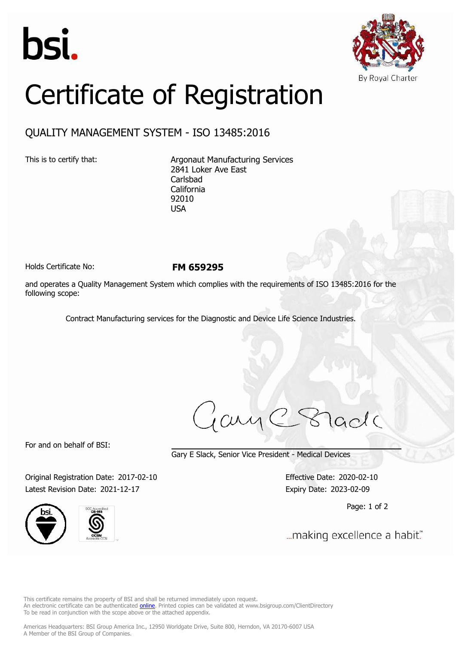



## Certificate of Registration

## QUALITY MANAGEMENT SYSTEM - ISO 13485:2016

This is to certify that: Argonaut Manufacturing Services 2841 Loker Ave East Carlsbad California 92010 USA

Holds Certificate No: **FM 659295**

and operates a Quality Management System which complies with the requirements of ISO 13485:2016 for the following scope:

Contract Manufacturing services for the Diagnostic and Device Life Science Industries.

jary C Stade

For and on behalf of BSI:

Gary E Slack, Senior Vice President - Medical Devices

Original Registration Date: 2017-02-10 Effective Date: 2020-02-10 Latest Revision Date: 2021-12-17 Expiry Date: 2023-02-09





Page: 1 of 2

... making excellence a habit."

This certificate remains the property of BSI and shall be returned immediately upon request. An electronic certificate can be authenticated *[online](https://pgplus.bsigroup.com/CertificateValidation/CertificateValidator.aspx?CertificateNumber=FM+659295&ReIssueDate=17%2f12%2f2021&Template=inc)*. Printed copies can be validated at www.bsigroup.com/ClientDirectory To be read in conjunction with the scope above or the attached appendix.

Americas Headquarters: BSI Group America Inc., 12950 Worldgate Drive, Suite 800, Herndon, VA 20170-6007 USA A Member of the BSI Group of Companies.